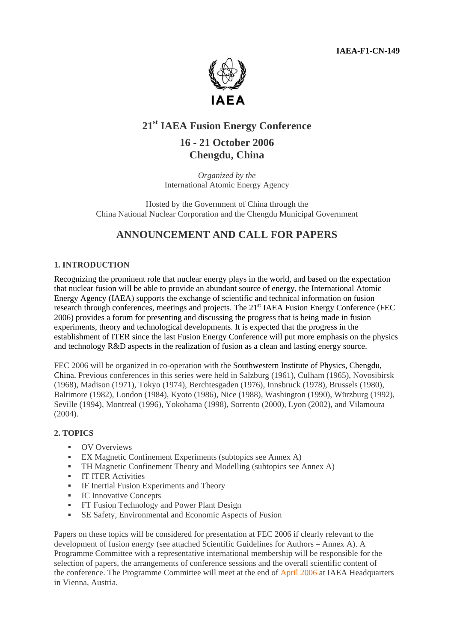**IAEA-F1-CN-149** 



# **21st IAEA Fusion Energy Conference**

# **16 - 21 October 2006 Chengdu, China**

*Organized by the* International Atomic Energy Agency

Hosted by the Government of China through the China National Nuclear Corporation and the Chengdu Municipal Government

# **ANNOUNCEMENT AND CALL FOR PAPERS**

## **1. INTRODUCTION**

Recognizing the prominent role that nuclear energy plays in the world, and based on the expectation that nuclear fusion will be able to provide an abundant source of energy, the International Atomic Energy Agency (IAEA) supports the exchange of scientific and technical information on fusion research through conferences, meetings and projects. The 21<sup>st</sup> IAEA Fusion Energy Conference (FEC 2006) provides a forum for presenting and discussing the progress that is being made in fusion experiments, theory and technological developments. It is expected that the progress in the establishment of ITER since the last Fusion Energy Conference will put more emphasis on the physics and technology R&D aspects in the realization of fusion as a clean and lasting energy source.

FEC 2006 will be organized in co-operation with the Southwestern Institute of Physics, Chengdu, China. Previous conferences in this series were held in Salzburg (1961), Culham (1965), Novosibirsk (1968), Madison (1971), Tokyo (1974), Berchtesgaden (1976), Innsbruck (1978), Brussels (1980), Baltimore (1982), London (1984), Kyoto (1986), Nice (1988), Washington (1990), Würzburg (1992), Seville (1994), Montreal (1996), Yokohama (1998), Sorrento (2000), Lyon (2002), and Vilamoura  $(2004)$ .

## **2. TOPICS**

- **OV** Overviews
- **EX Magnetic Confinement Experiments (subtopics see Annex A)**
- **TH Magnetic Confinement Theory and Modelling (subtopics see Annex A)**
- **IT ITER Activities**
- **IF Inertial Fusion Experiments and Theory**
- **IC Innovative Concepts**
- **FT Fusion Technology and Power Plant Design**
- SE Safety, Environmental and Economic Aspects of Fusion

Papers on these topics will be considered for presentation at FEC 2006 if clearly relevant to the development of fusion energy (see attached Scientific Guidelines for Authors – Annex A). A Programme Committee with a representative international membership will be responsible for the selection of papers, the arrangements of conference sessions and the overall scientific content of the conference. The Programme Committee will meet at the end of April 2006 at IAEA Headquarters in Vienna, Austria.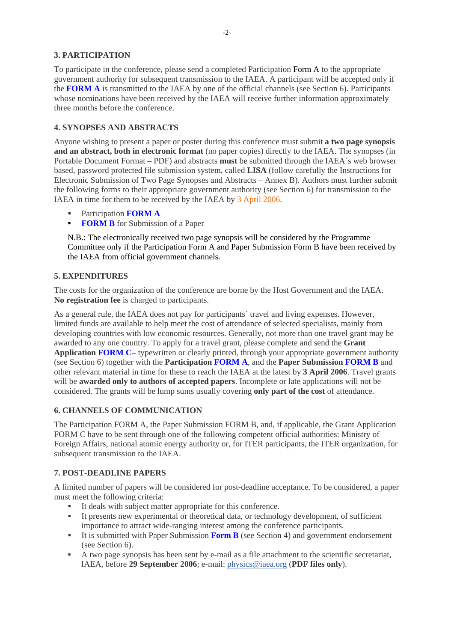# **3. PARTICIPATION**

To participate in the conference, please send a completed Participation Form A to the appropriate government authority for subsequent transmission to the IAEA. A participant will be accepted only if the **FORM A** is transmitted to the IAEA by one of the official channels (see Section 6). Participants whose nominations have been received by the IAEA will receive further information approximately three months before the conference.

# **4. SYNOPSES AND ABSTRACTS**

Anyone wishing to present a paper or poster during this conference must submit **a two page synopsis and an abstract, both in electronic format** (no paper copies) directly to the IAEA. The synopses (in Portable Document Format – PDF) and abstracts **must** be submitted through the IAEA´s web browser based, password protected file submission system, called **LISA** (follow carefully the Instructions for Electronic Submission of Two Page Synopses and Abstracts – Annex B). Authors must further submit the following forms to their appropriate government authority (see Section 6) for transmission to the IAEA in time for them to be received by the IAEA by 3 April 2006.

- Participation **FORM A**
- **FORM B** for Submission of a Paper

N.B.: The electronically received two page synopsis will be considered by the Programme Committee only if the Participation Form A and Paper Submission Form B have been received by the IAEA from official government channels.

## **5. EXPENDITURES**

The costs for the organization of the conference are borne by the Host Government and the IAEA. **No registration fee** is charged to participants.

As a general rule, the IAEA does not pay for participants´ travel and living expenses. However, limited funds are available to help meet the cost of attendance of selected specialists, mainly from developing countries with low economic resources. Generally, not more than one travel grant may be awarded to any one country. To apply for a travel grant, please complete and send the **Grant Application FORM C**– typewritten or clearly printed, through your appropriate government authority (see Section 6) together with the **Participation FORM A**, and the **Paper Submission FORM B** and other relevant material in time for these to reach the IAEA at the latest by **3 April 2006**. Travel grants will be **awarded only to authors of accepted papers**. Incomplete or late applications will not be considered. The grants will be lump sums usually covering **only part of the cost** of attendance.

# **6. CHANNELS OF COMMUNICATION**

The Participation FORM A, the Paper Submission FORM B, and, if applicable, the Grant Application FORM C have to be sent through one of the following competent official authorities: Ministry of Foreign Affairs, national atomic energy authority or, for ITER participants, the ITER organization, for subsequent transmission to the IAEA.

## **7. POST-DEADLINE PAPERS**

A limited number of papers will be considered for post-deadline acceptance. To be considered, a paper must meet the following criteria:

- It deals with subject matter appropriate for this conference.
- It presents new experimental or theoretical data, or technology development, of sufficient importance to attract wide-ranging interest among the conference participants.
- It is submitted with Paper Submission **Form B** (see Section 4) and government endorsement (see Section 6).
- A two page synopsis has been sent by e-mail as a file attachment to the scientific secretariat, IAEA, before **29 September 2006**; e-mail: physics@iaea.org (**PDF files only**).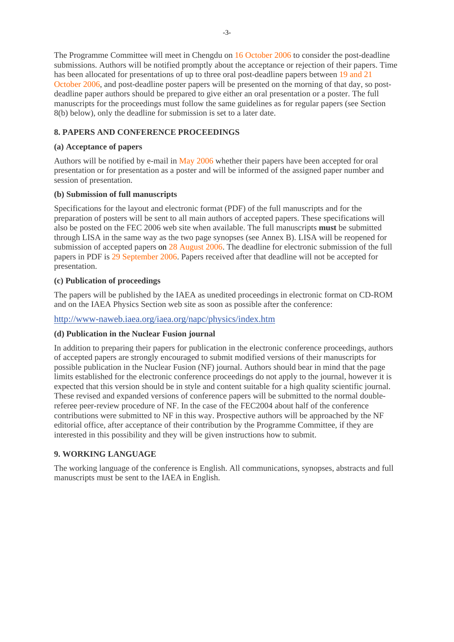The Programme Committee will meet in Chengdu on 16 October 2006 to consider the post-deadline submissions. Authors will be notified promptly about the acceptance or rejection of their papers. Time has been allocated for presentations of up to three oral post-deadline papers between 19 and 21 October 2006, and post-deadline poster papers will be presented on the morning of that day, so postdeadline paper authors should be prepared to give either an oral presentation or a poster. The full manuscripts for the proceedings must follow the same guidelines as for regular papers (see Section 8(b) below), only the deadline for submission is set to a later date.

# **8. PAPERS AND CONFERENCE PROCEEDINGS**

#### **(a) Acceptance of papers**

Authors will be notified by e-mail in May 2006 whether their papers have been accepted for oral presentation or for presentation as a poster and will be informed of the assigned paper number and session of presentation.

## **(b) Submission of full manuscripts**

Specifications for the layout and electronic format (PDF) of the full manuscripts and for the preparation of posters will be sent to all main authors of accepted papers. These specifications will also be posted on the FEC 2006 web site when available. The full manuscripts **must** be submitted through LISA in the same way as the two page synopses (see Annex B). LISA will be reopened for submission of accepted papers on 28 August 2006. The deadline for electronic submission of the full papers in PDF is 29 September 2006. Papers received after that deadline will not be accepted for presentation.

#### **(c) Publication of proceedings**

The papers will be published by the IAEA as unedited proceedings in electronic format on CD-ROM and on the IAEA Physics Section web site as soon as possible after the conference:

#### http://www-naweb.iaea.org/iaea.org/napc/physics/index.htm

## **(d) Publication in the Nuclear Fusion journal**

In addition to preparing their papers for publication in the electronic conference proceedings, authors of accepted papers are strongly encouraged to submit modified versions of their manuscripts for possible publication in the Nuclear Fusion (NF) journal. Authors should bear in mind that the page limits established for the electronic conference proceedings do not apply to the journal, however it is expected that this version should be in style and content suitable for a high quality scientific journal. These revised and expanded versions of conference papers will be submitted to the normal doublereferee peer-review procedure of NF. In the case of the FEC2004 about half of the conference contributions were submitted to NF in this way. Prospective authors will be approached by the NF editorial office, after acceptance of their contribution by the Programme Committee, if they are interested in this possibility and they will be given instructions how to submit.

## **9. WORKING LANGUAGE**

The working language of the conference is English. All communications, synopses, abstracts and full manuscripts must be sent to the IAEA in English.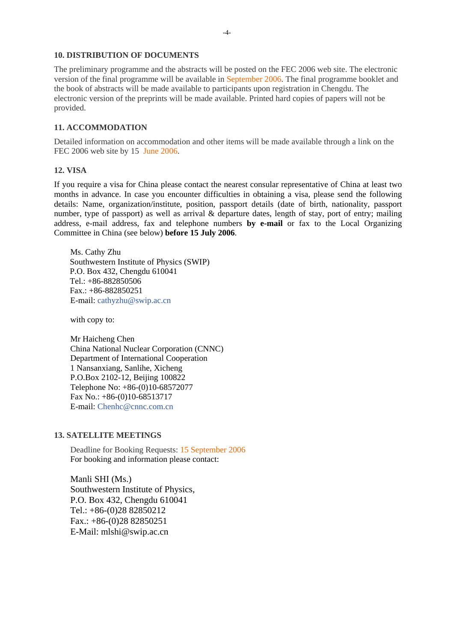#### **10. DISTRIBUTION OF DOCUMENTS**

The preliminary programme and the abstracts will be posted on the FEC 2006 web site. The electronic version of the final programme will be available in September 2006. The final programme booklet and the book of abstracts will be made available to participants upon registration in Chengdu. The electronic version of the preprints will be made available. Printed hard copies of papers will not be provided.

#### **11. ACCOMMODATION**

Detailed information on accommodation and other items will be made available through a link on the FEC 2006 web site by 15 June 2006.

#### **12. VISA**

If you require a visa for China please contact the nearest consular representative of China at least two months in advance. In case you encounter difficulties in obtaining a visa, please send the following details: Name, organization/institute, position, passport details (date of birth, nationality, passport number, type of passport) as well as arrival & departure dates, length of stay, port of entry; mailing address, e-mail address, fax and telephone numbers **by e-mail** or fax to the Local Organizing Committee in China (see below) **before 15 July 2006**.

Ms. Cathy Zhu Southwestern Institute of Physics (SWIP) P.O. Box 432, Chengdu 610041 Tel.: +86-882850506 Fax.: +86-882850251 E-mail: cathyzhu@swip.ac.cn

with copy to:

Mr Haicheng Chen China National Nuclear Corporation (CNNC) Department of International Cooperation 1 Nansanxiang, Sanlihe, Xicheng P.O.Box 2102-12, Beijing 100822 Telephone No: +86-(0)10-68572077 Fax No.: +86-(0)10-68513717 E-mail: Chenhc@cnnc.com.cn

## **13. SATELLITE MEETINGS**

Deadline for Booking Requests: 15 September 2006 For booking and information please contact:

Manli SHI (Ms.) Southwestern Institute of Physics, P.O. Box 432, Chengdu 610041 Tel.: +86-(0)28 82850212 Fax.: +86-(0)28 82850251 E-Mail: mlshi@swip.ac.cn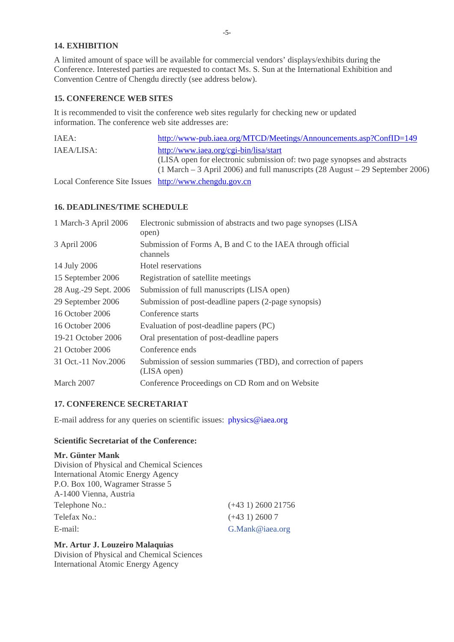# **14. EXHIBITION**

A limited amount of space will be available for commercial vendors' displays/exhibits during the Conference. Interested parties are requested to contact Ms. S. Sun at the International Exhibition and Convention Centre of Chengdu directly (see address below).

# **15. CONFERENCE WEB SITES**

It is recommended to visit the conference web sites regularly for checking new or updated information. The conference web site addresses are:

| IAEA:                                                  | http://www-pub.iaea.org/MTCD/Meetings/Announcements.asp?ConfID=149                                                                                                                                      |
|--------------------------------------------------------|---------------------------------------------------------------------------------------------------------------------------------------------------------------------------------------------------------|
| IAEA/LISA:                                             | http://www.iaea.org/cgi-bin/lisa/start<br>(LISA open for electronic submission of: two page synopses and abstracts<br>$(1 March - 3 April 2006)$ and full manuscripts $(28 August - 29 September 2006)$ |
| Local Conference Site Issues http://www.chengdu.gov.cn |                                                                                                                                                                                                         |

## **16. DEADLINES/TIME SCHEDULE**

| 1 March-3 April 2006  | Electronic submission of abstracts and two page synopses (LISA<br>open)        |
|-----------------------|--------------------------------------------------------------------------------|
| 3 April 2006          | Submission of Forms A, B and C to the IAEA through official<br>channels        |
| 14 July 2006          | Hotel reservations                                                             |
| 15 September 2006     | Registration of satellite meetings                                             |
| 28 Aug.-29 Sept. 2006 | Submission of full manuscripts (LISA open)                                     |
| 29 September 2006     | Submission of post-deadline papers (2-page synopsis)                           |
| 16 October 2006       | Conference starts                                                              |
| 16 October 2006       | Evaluation of post-deadline papers (PC)                                        |
| 19-21 October 2006    | Oral presentation of post-deadline papers                                      |
| 21 October 2006       | Conference ends                                                                |
| 31 Oct. -11 Nov. 2006 | Submission of session summaries (TBD), and correction of papers<br>(LISA open) |
| March 2007            | Conference Proceedings on CD Rom and on Website                                |

## **17. CONFERENCE SECRETARIAT**

E-mail address for any queries on scientific issues: physics@iaea.org

## **Scientific Secretariat of the Conference:**

# **Mr. Günter Mank**

| Division of Physical and Chemical Sciences |                         |
|--------------------------------------------|-------------------------|
| <b>International Atomic Energy Agency</b>  |                         |
| P.O. Box 100, Wagramer Strasse 5           |                         |
| A-1400 Vienna, Austria                     |                         |
| Telephone No.:                             | $(+43\ 1)\ 2600\ 21756$ |
| Telefax No.:                               | $(+431)$ 2600 7         |
| E-mail:                                    | G.Mank@iaea.org         |

## **Mr. Artur J. Louzeiro Malaquias**

Division of Physical and Chemical Sciences International Atomic Energy Agency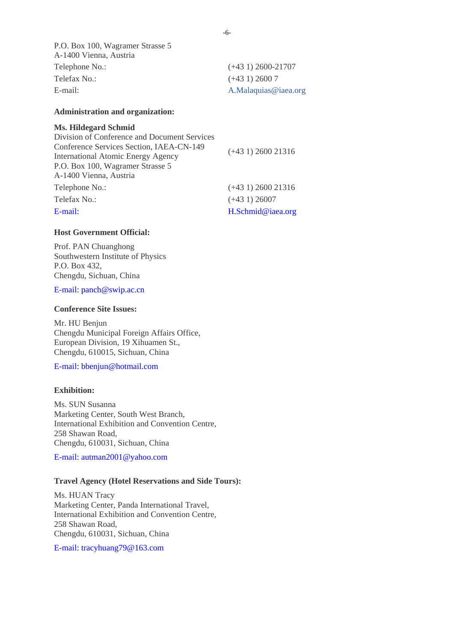P.O. Box 100, Wagramer Strasse 5 A-1400 Vienna, Austria Telephone No.: (+43 1) 2600-21707 Telefax No.: (+43 1) 2600 7 E-mail: A.Malaquias@iaea.org

#### **Administration and organization:**

#### **Ms. Hildegard Schmid**

| Division of Conference and Document Services |                         |
|----------------------------------------------|-------------------------|
| Conference Services Section, IAEA-CN-149     | $(+431)$ 2600 21316     |
| <b>International Atomic Energy Agency</b>    |                         |
| P.O. Box 100, Wagramer Strasse 5             |                         |
| A-1400 Vienna, Austria                       |                         |
| Telephone No.:                               | $(+43\ 1)\ 2600\ 21316$ |
| Telefax No.:                                 | $(+431)$ 26007          |
| E-mail:                                      | H.Schmid@iaea.org       |

#### **Host Government Official:**

Prof. PAN Chuanghong Southwestern Institute of Physics P.O. Box 432, Chengdu, Sichuan, China

E-mail: panch@swip.ac.cn

#### **Conference Site Issues:**

Mr. HU Benjun Chengdu Municipal Foreign Affairs Office, European Division, 19 Xihuamen St., Chengdu, 610015, Sichuan, China

E-mail: bbenjun@hotmail.com

#### **Exhibition:**

Ms. SUN Susanna Marketing Center, South West Branch, International Exhibition and Convention Centre, 258 Shawan Road, Chengdu, 610031, Sichuan, China

E-mail: autman2001@yahoo.com

#### **Travel Agency (Hotel Reservations and Side Tours):**

Ms. HUAN Tracy Marketing Center, Panda International Travel, International Exhibition and Convention Centre, 258 Shawan Road, Chengdu, 610031, Sichuan, China

E-mail: tracyhuang79@163.com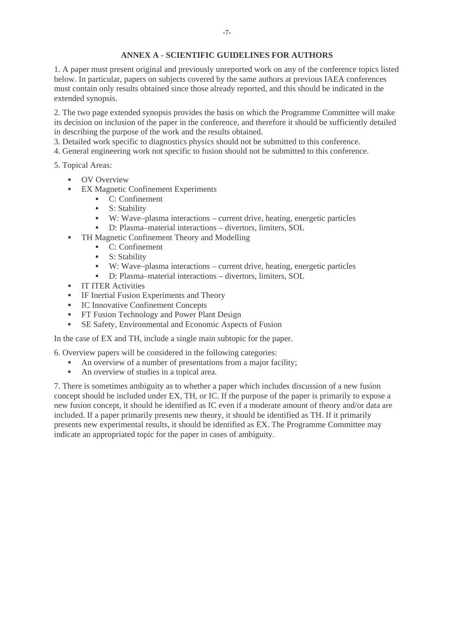## **ANNEX A - SCIENTIFIC GUIDELINES FOR AUTHORS**

1. A paper must present original and previously unreported work on any of the conference topics listed below. In particular, papers on subjects covered by the same authors at previous IAEA conferences must contain only results obtained since those already reported, and this should be indicated in the extended synopsis.

2. The two page extended synopsis provides the basis on which the Programme Committee will make its decision on inclusion of the paper in the conference, and therefore it should be sufficiently detailed in describing the purpose of the work and the results obtained.

3. Detailed work specific to diagnostics physics should not be submitted to this conference.

4. General engineering work not specific to fusion should not be submitted to this conference.

5. Topical Areas:

- **OV Overview**
- **EX Magnetic Confinement Experiments** 
	- C: Confinement
	- S: Stability
	- W: Wave–plasma interactions current drive, heating, energetic particles
	- D: Plasma–material interactions divertors, limiters, SOL
- **TH Magnetic Confinement Theory and Modelling** 
	- $\overline{C}$ : Confinement
	- S: Stability
	- W: Wave–plasma interactions current drive, heating, energetic particles
	- D: Plasma–material interactions divertors, limiters, SOL
- **IT ITER Activities**
- **IF Inertial Fusion Experiments and Theory**
- **IC Innovative Confinement Concepts**
- **FT Fusion Technology and Power Plant Design**
- SE Safety, Environmental and Economic Aspects of Fusion

In the case of EX and TH, include a single main subtopic for the paper.

6. Overview papers will be considered in the following categories:

- An overview of a number of presentations from a major facility;
- An overview of studies in a topical area.

7. There is sometimes ambiguity as to whether a paper which includes discussion of a new fusion concept should be included under EX, TH, or IC. If the purpose of the paper is primarily to expose a new fusion concept, it should be identified as IC even if a moderate amount of theory and/or data are included. If a paper primarily presents new theory, it should be identified as TH. If it primarily presents new experimental results, it should be identified as EX. The Programme Committee may indicate an appropriated topic for the paper in cases of ambiguity.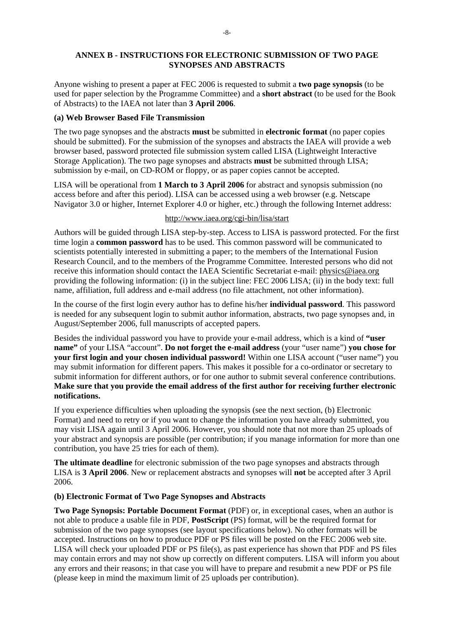## **ANNEX B - INSTRUCTIONS FOR ELECTRONIC SUBMISSION OF TWO PAGE SYNOPSES AND ABSTRACTS**

Anyone wishing to present a paper at FEC 2006 is requested to submit a **two page synopsis** (to be used for paper selection by the Programme Committee) and a **short abstract** (to be used for the Book of Abstracts) to the IAEA not later than **3 April 2006**.

#### **(a) Web Browser Based File Transmission**

The two page synopses and the abstracts **must** be submitted in **electronic format** (no paper copies should be submitted). For the submission of the synopses and abstracts the IAEA will provide a web browser based, password protected file submission system called LISA (Lightweight Interactive Storage Application). The two page synopses and abstracts **must** be submitted through LISA; submission by e-mail, on CD-ROM or floppy, or as paper copies cannot be accepted.

LISA will be operational from **1 March to 3 April 2006** for abstract and synopsis submission (no access before and after this period). LISA can be accessed using a web browser (e.g. Netscape Navigator 3.0 or higher, Internet Explorer 4.0 or higher, etc.) through the following Internet address:

## http://www.iaea.org/cgi-bin/lisa/start

Authors will be guided through LISA step-by-step. Access to LISA is password protected. For the first time login a **common password** has to be used. This common password will be communicated to scientists potentially interested in submitting a paper; to the members of the International Fusion Research Council, and to the members of the Programme Committee. Interested persons who did not receive this information should contact the IAEA Scientific Secretariat e-mail: physics@iaea.org providing the following information: (i) in the subject line: FEC 2006 LISA; (ii) in the body text: full name, affiliation, full address and e-mail address (no file attachment, not other information).

In the course of the first login every author has to define his/her **individual password**. This password is needed for any subsequent login to submit author information, abstracts, two page synopses and, in August/September 2006, full manuscripts of accepted papers.

Besides the individual password you have to provide your e-mail address, which is a kind of **"user name"** of your LISA "account". **Do not forget the e-mail address** (your "user name") **you chose for your first login and your chosen individual password!** Within one LISA account ("user name") you may submit information for different papers. This makes it possible for a co-ordinator or secretary to submit information for different authors, or for one author to submit several conference contributions. **Make sure that you provide the email address of the first author for receiving further electronic notifications.**

If you experience difficulties when uploading the synopsis (see the next section, (b) Electronic Format) and need to retry or if you want to change the information you have already submitted, you may visit LISA again until 3 April 2006. However, you should note that not more than 25 uploads of your abstract and synopsis are possible (per contribution; if you manage information for more than one contribution, you have 25 tries for each of them).

**The ultimate deadline** for electronic submission of the two page synopses and abstracts through LISA is **3 April 2006**. New or replacement abstracts and synopses will **not** be accepted after 3 April 2006.

## **(b) Electronic Format of Two Page Synopses and Abstracts**

**Two Page Synopsis: Portable Document Format** (PDF) or, in exceptional cases, when an author is not able to produce a usable file in PDF, **PostScript** (PS) format, will be the required format for submission of the two page synopses (see layout specifications below). No other formats will be accepted. Instructions on how to produce PDF or PS files will be posted on the FEC 2006 web site. LISA will check your uploaded PDF or PS file(s), as past experience has shown that PDF and PS files may contain errors and may not show up correctly on different computers. LISA will inform you about any errors and their reasons; in that case you will have to prepare and resubmit a new PDF or PS file (please keep in mind the maximum limit of 25 uploads per contribution).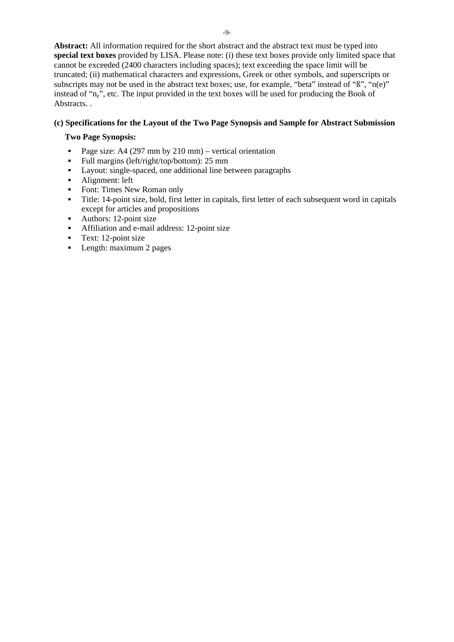**Abstract:** All information required for the short abstract and the abstract text must be typed into **special text boxes** provided by LISA. Please note: (i) these text boxes provide only limited space that cannot be exceeded (2400 characters including spaces); text exceeding the space limit will be truncated; (ii) mathematical characters and expressions, Greek or other symbols, and superscripts or subscripts may not be used in the abstract text boxes; use, for example, "beta" instead of "ß", "n(e)" instead of "n<sub>e</sub>", etc. The input provided in the text boxes will be used for producing the Book of Abstracts...

# **(c) Specifications for the Layout of the Two Page Synopsis and Sample for Abstract Submission**

# **Two Page Synopsis:**

- Page size: A4 (297 mm by 210 mm) vertical orientation
- Full margins (left/right/top/bottom): 25 mm
- Layout: single-spaced, one additional line between paragraphs
- Alignment: left
- Font: Times New Roman only
- Title: 14-point size, bold, first letter in capitals, first letter of each subsequent word in capitals except for articles and propositions
- Authors: 12-point size
- Affiliation and e-mail address: 12-point size
- **Text:** 12-point size
- **Length:** maximum 2 pages